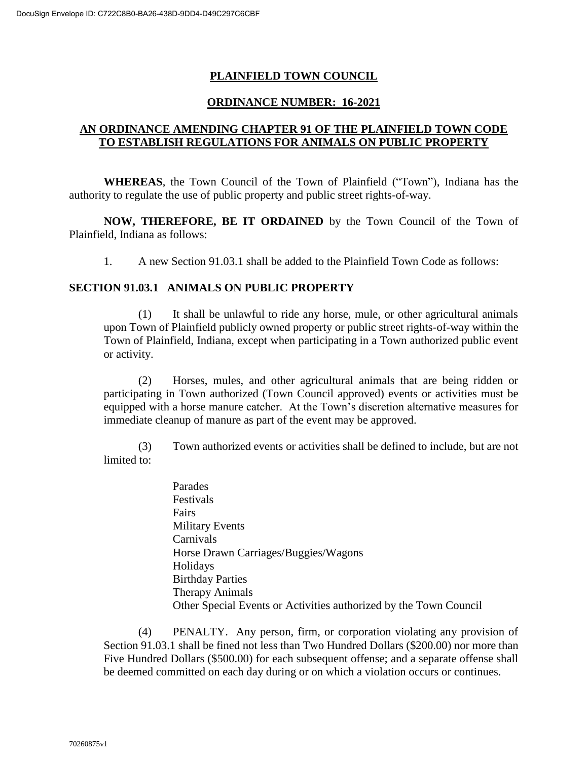# **PLAINFIELD TOWN COUNCIL**

## **ORDINANCE NUMBER: 16-2021**

# **AN ORDINANCE AMENDING CHAPTER 91 OF THE PLAINFIELD TOWN CODE TO ESTABLISH REGULATIONS FOR ANIMALS ON PUBLIC PROPERTY**

**WHEREAS**, the Town Council of the Town of Plainfield ("Town"), Indiana has the authority to regulate the use of public property and public street rights-of-way.

**NOW, THEREFORE, BE IT ORDAINED** by the Town Council of the Town of Plainfield, Indiana as follows:

1. A new Section 91.03.1 shall be added to the Plainfield Town Code as follows:

### **SECTION 91.03.1 ANIMALS ON PUBLIC PROPERTY**

(1) It shall be unlawful to ride any horse, mule, or other agricultural animals upon Town of Plainfield publicly owned property or public street rights-of-way within the Town of Plainfield, Indiana, except when participating in a Town authorized public event or activity.

(2) Horses, mules, and other agricultural animals that are being ridden or participating in Town authorized (Town Council approved) events or activities must be equipped with a horse manure catcher. At the Town's discretion alternative measures for immediate cleanup of manure as part of the event may be approved.

(3) Town authorized events or activities shall be defined to include, but are not limited to:

> Parades Festivals **Fairs** Military Events Carnivals Horse Drawn Carriages/Buggies/Wagons Holidays Birthday Parties Therapy Animals Other Special Events or Activities authorized by the Town Council

(4) PENALTY. Any person, firm, or corporation violating any provision of Section 91.03.1 shall be fined not less than Two Hundred Dollars (\$200.00) nor more than Five Hundred Dollars (\$500.00) for each subsequent offense; and a separate offense shall be deemed committed on each day during or on which a violation occurs or continues.